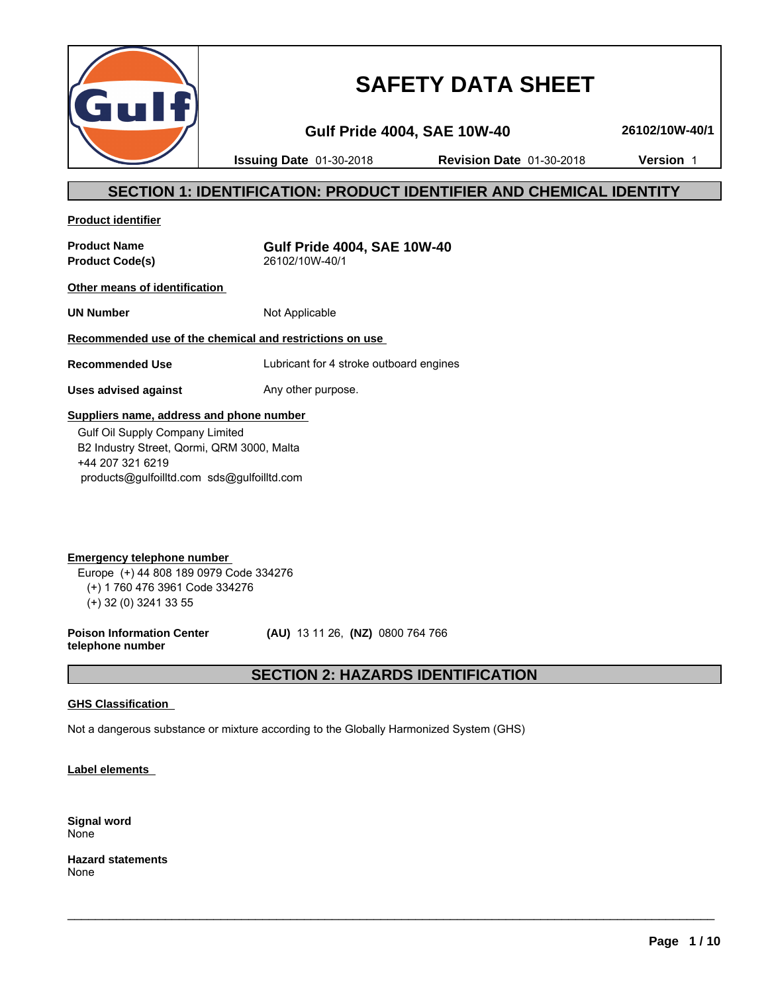

# **SAFETY DATA SHEET**

**Gulf Pride 4004, SAE 10W-40 26102/10W-40/1**

**Issuing Date** 01-30-2018 **Revision Date** 01-30-2018 **Version** 1

# **SECTION 1: IDENTIFICATION: PRODUCT IDENTIFIER AND CHEMICAL IDENTITY**

**Product identifier**

**Product Code(s)** 

**Product Name**<br>**Product Code(s)**<br> $26102/10W-40/1$ <br>**Product Code(s)** 

**Other means of identification** 

**UN Number** Not Applicable

# **Recommended use of the chemical and restrictions on use**

**Recommended Use** Lubricant for 4 stroke outboard engines

**Uses advised against** Any other purpose.

# **Suppliers name, address and phone number**

 Gulf Oil Supply Company Limited B2 Industry Street, Qormi, QRM 3000, Malta +44 207 321 6219 products@gulfoilltd.com sds@gulfoilltd.com

**Emergency telephone number**  Europe (+) 44 808 189 0979 Code 334276 (+) 1 760 476 3961 Code 334276 (+) 32 (0) 3241 33 55

**Poison Information Center telephone number**

 **(AU)** 13 11 26, **(NZ)** 0800 764 766

# **SECTION 2: HAZARDS IDENTIFICATION**

 $\_$  ,  $\_$  ,  $\_$  ,  $\_$  ,  $\_$  ,  $\_$  ,  $\_$  ,  $\_$  ,  $\_$  ,  $\_$  ,  $\_$  ,  $\_$  ,  $\_$  ,  $\_$  ,  $\_$  ,  $\_$  ,  $\_$  ,  $\_$  ,  $\_$  ,  $\_$  ,  $\_$  ,  $\_$  ,  $\_$  ,  $\_$  ,  $\_$  ,  $\_$  ,  $\_$  ,  $\_$  ,  $\_$  ,  $\_$  ,  $\_$  ,  $\_$  ,  $\_$  ,  $\_$  ,  $\_$  ,  $\_$  ,  $\_$  ,

# **GHS Classification**

Not a dangerous substance or mixture according to the Globally Harmonized System (GHS)

**Label elements** 

**Signal word** None

**Hazard statements** None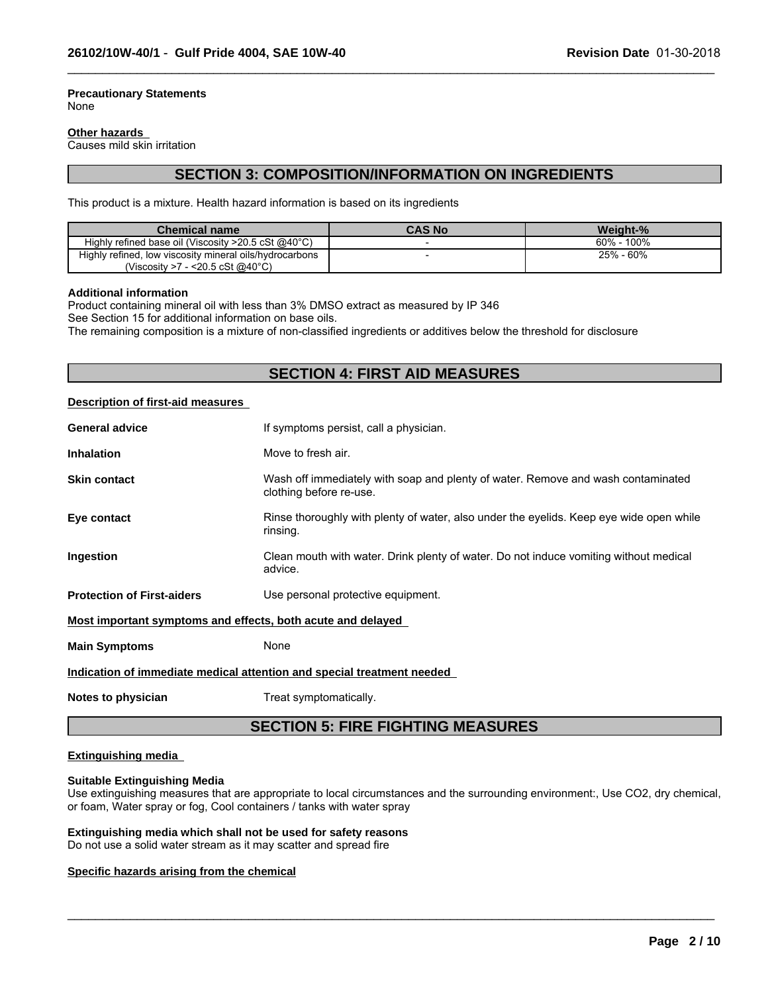#### **Precautionary Statements** None

#### **Other hazards**

Causes mild skin irritation

# **SECTION 3: COMPOSITION/INFORMATION ON INGREDIENTS**

 $\_$  ,  $\_$  ,  $\_$  ,  $\_$  ,  $\_$  ,  $\_$  ,  $\_$  ,  $\_$  ,  $\_$  ,  $\_$  ,  $\_$  ,  $\_$  ,  $\_$  ,  $\_$  ,  $\_$  ,  $\_$  ,  $\_$  ,  $\_$  ,  $\_$  ,  $\_$  ,  $\_$  ,  $\_$  ,  $\_$  ,  $\_$  ,  $\_$  ,  $\_$  ,  $\_$  ,  $\_$  ,  $\_$  ,  $\_$  ,  $\_$  ,  $\_$  ,  $\_$  ,  $\_$  ,  $\_$  ,  $\_$  ,  $\_$  ,

This product is a mixture. Health hazard information is based on its ingredients

| <b>Chemical name</b>                                             | <b>CAS No</b> | Weight-%         |
|------------------------------------------------------------------|---------------|------------------|
| Highly refined base oil (Viscosity $>20.5$ cSt @40 $^{\circ}$ C) |               | 100%<br>$60\%$ - |
| Highly refined, low viscosity mineral oils/hydrocarbons          |               | 25% - 60%        |
| (Viscosity >7 - <20.5 cSt @40 $^{\circ}$ C)                      |               |                  |

#### **Additional information**

Product containing mineral oil with less than 3% DMSO extract as measured by IP 346

See Section 15 for additional information on base oils.

The remaining composition is a mixture of non-classified ingredients or additives below the threshold for disclosure

# **SECTION 4: FIRST AID MEASURES**

#### **Description of first-aid measures**

| <b>General advice</b>                                                  | If symptoms persist, call a physician.                                                                      |  |  |
|------------------------------------------------------------------------|-------------------------------------------------------------------------------------------------------------|--|--|
| <b>Inhalation</b>                                                      | Move to fresh air.                                                                                          |  |  |
| <b>Skin contact</b>                                                    | Wash off immediately with soap and plenty of water. Remove and wash contaminated<br>clothing before re-use. |  |  |
| Eye contact                                                            | Rinse thoroughly with plenty of water, also under the eyelids. Keep eye wide open while<br>rinsing.         |  |  |
| Ingestion                                                              | Clean mouth with water. Drink plenty of water. Do not induce vomiting without medical<br>advice.            |  |  |
| <b>Protection of First-aiders</b>                                      | Use personal protective equipment.                                                                          |  |  |
| Most important symptoms and effects, both acute and delayed            |                                                                                                             |  |  |
| <b>Main Symptoms</b>                                                   | None                                                                                                        |  |  |
| Indication of immediate medical attention and special treatment needed |                                                                                                             |  |  |
|                                                                        |                                                                                                             |  |  |

**Notes to physician** Treat symptomatically.

# **SECTION 5: FIRE FIGHTING MEASURES**

### **Extinguishing media**

#### **Suitable Extinguishing Media**

Use extinguishing measures that are appropriate to local circumstances and the surrounding environment:, Use CO2, dry chemical, or foam, Water spray or fog, Cool containers / tanks with water spray

 $\_$  ,  $\_$  ,  $\_$  ,  $\_$  ,  $\_$  ,  $\_$  ,  $\_$  ,  $\_$  ,  $\_$  ,  $\_$  ,  $\_$  ,  $\_$  ,  $\_$  ,  $\_$  ,  $\_$  ,  $\_$  ,  $\_$  ,  $\_$  ,  $\_$  ,  $\_$  ,  $\_$  ,  $\_$  ,  $\_$  ,  $\_$  ,  $\_$  ,  $\_$  ,  $\_$  ,  $\_$  ,  $\_$  ,  $\_$  ,  $\_$  ,  $\_$  ,  $\_$  ,  $\_$  ,  $\_$  ,  $\_$  ,  $\_$  ,

# **Extinguishing media which shall not be used for safety reasons**

Do not use a solid water stream as it may scatter and spread fire

#### **Specific hazards arising from the chemical**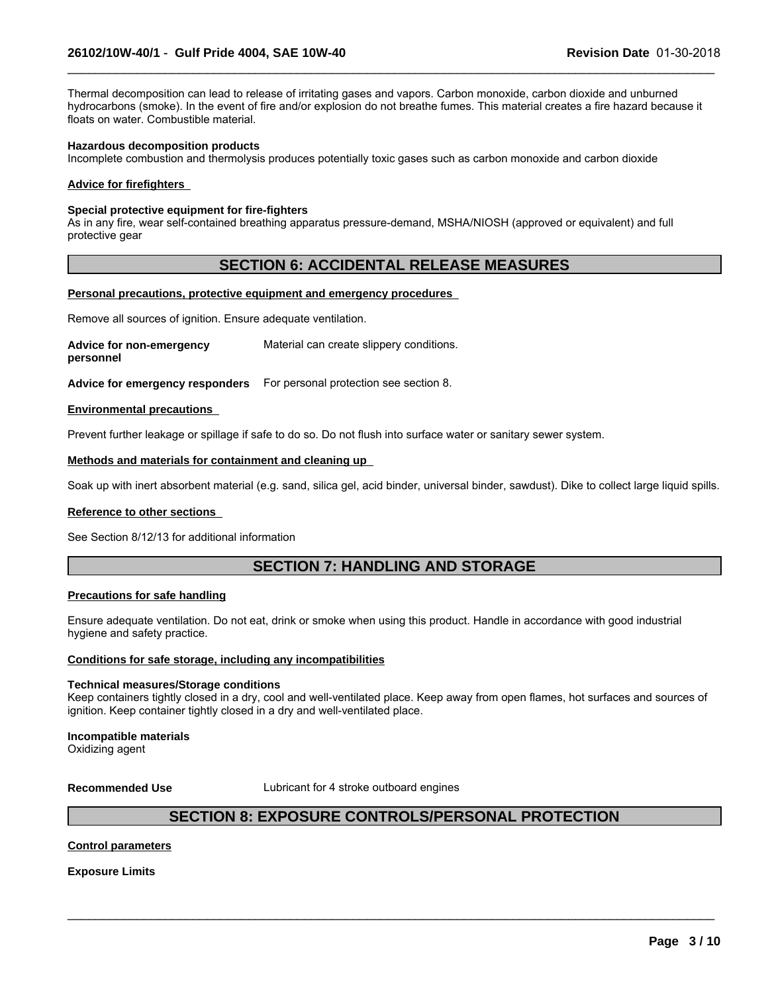Thermal decomposition can lead to release of irritating gases and vapors. Carbon monoxide, carbon dioxide and unburned hydrocarbons (smoke). In the event of fire and/or explosion do not breathe fumes. This material creates a fire hazard because it floats on water. Combustible material.

 $\_$  ,  $\_$  ,  $\_$  ,  $\_$  ,  $\_$  ,  $\_$  ,  $\_$  ,  $\_$  ,  $\_$  ,  $\_$  ,  $\_$  ,  $\_$  ,  $\_$  ,  $\_$  ,  $\_$  ,  $\_$  ,  $\_$  ,  $\_$  ,  $\_$  ,  $\_$  ,  $\_$  ,  $\_$  ,  $\_$  ,  $\_$  ,  $\_$  ,  $\_$  ,  $\_$  ,  $\_$  ,  $\_$  ,  $\_$  ,  $\_$  ,  $\_$  ,  $\_$  ,  $\_$  ,  $\_$  ,  $\_$  ,  $\_$  ,

#### **Hazardous decomposition products**

Incomplete combustion and thermolysis produces potentially toxic gases such as carbon monoxide and carbon dioxide

#### **Advice for firefighters**

#### **Special protective equipment for fire-fighters**

As in any fire, wear self-contained breathing apparatus pressure-demand, MSHA/NIOSH (approved or equivalent) and full protective gear

# **SECTION 6: ACCIDENTAL RELEASE MEASURES**

#### **Personal precautions, protective equipment and emergency procedures**

Remove all sources of ignition. Ensure adequate ventilation.

**Advice for non-emergency personnel** Material can create slippery conditions.

**Advice for emergency responders** For personal protection see section 8.

#### **Environmental precautions**

Prevent further leakage or spillage if safe to do so. Do not flush into surface water or sanitary sewer system.

#### **Methods and materials for containment and cleaning up**

Soak up with inert absorbent material (e.g. sand, silica gel, acid binder, universal binder, sawdust). Dike to collect large liquid spills.

#### **Reference to other sections**

See Section 8/12/13 for additional information

# **SECTION 7: HANDLING AND STORAGE**

#### **Precautions for safe handling**

Ensure adequate ventilation. Do not eat, drink or smoke when using this product. Handle in accordance with good industrial hygiene and safety practice.

#### **Conditions for safe storage, including any incompatibilities**

#### **Technical measures/Storage conditions**

Keep containers tightly closed in a dry, cool and well-ventilated place. Keep away from open flames, hot surfaces and sources of ignition. Keep container tightly closed in a dry and well-ventilated place.

#### **Incompatible materials**

Oxidizing agent

**Recommended Use** Lubricant for 4 stroke outboard engines

# **SECTION 8: EXPOSURE CONTROLS/PERSONAL PROTECTION**

 $\_$  ,  $\_$  ,  $\_$  ,  $\_$  ,  $\_$  ,  $\_$  ,  $\_$  ,  $\_$  ,  $\_$  ,  $\_$  ,  $\_$  ,  $\_$  ,  $\_$  ,  $\_$  ,  $\_$  ,  $\_$  ,  $\_$  ,  $\_$  ,  $\_$  ,  $\_$  ,  $\_$  ,  $\_$  ,  $\_$  ,  $\_$  ,  $\_$  ,  $\_$  ,  $\_$  ,  $\_$  ,  $\_$  ,  $\_$  ,  $\_$  ,  $\_$  ,  $\_$  ,  $\_$  ,  $\_$  ,  $\_$  ,  $\_$  ,

#### **Control parameters**

**Exposure Limits**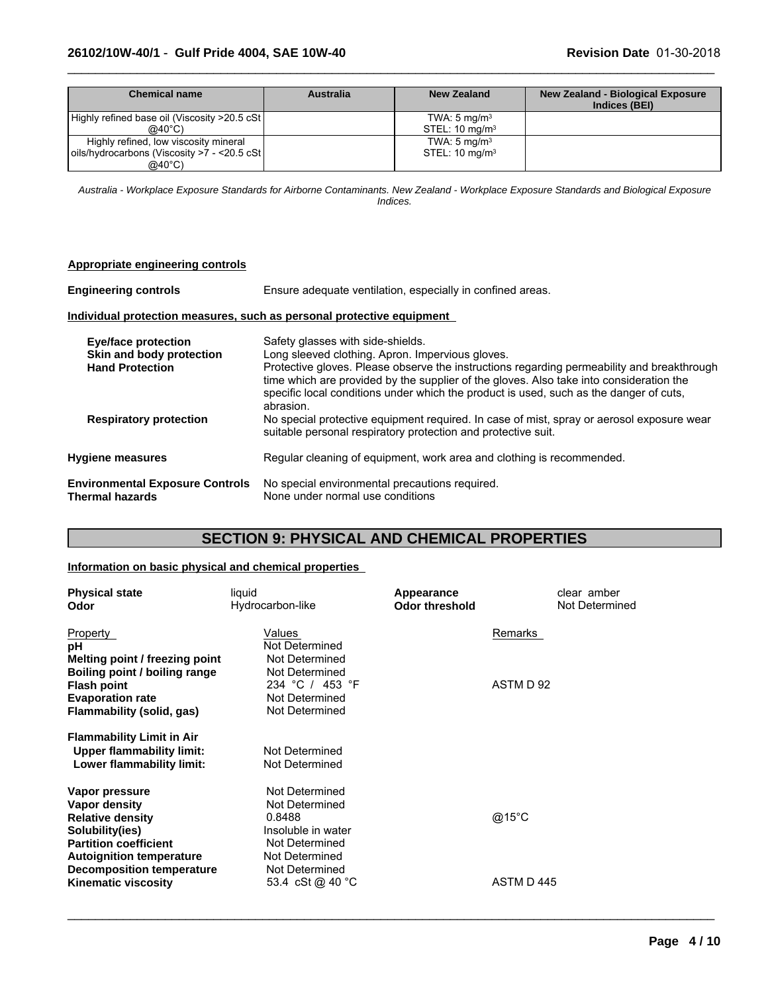| <b>Chemical name</b>                          | <b>Australia</b> | New Zealand               | <b>New Zealand - Biological Exposure</b><br>Indices (BEI) |
|-----------------------------------------------|------------------|---------------------------|-----------------------------------------------------------|
| Highly refined base oil (Viscosity >20.5 cSt) |                  | TWA: $5 \text{ mg/m}^3$   |                                                           |
| $@40^{\circ}$ C)                              |                  | STEL: $10 \text{ mg/m}^3$ |                                                           |
| Highly refined, low viscosity mineral         |                  | TWA: $5 \text{ mg/m}^3$   |                                                           |
| oils/hydrocarbons (Viscosity >7 - <20.5 cSt)  |                  | STEL: $10 \text{ mg/m}^3$ |                                                           |
| @40°C)                                        |                  |                           |                                                           |

 $\_$  ,  $\_$  ,  $\_$  ,  $\_$  ,  $\_$  ,  $\_$  ,  $\_$  ,  $\_$  ,  $\_$  ,  $\_$  ,  $\_$  ,  $\_$  ,  $\_$  ,  $\_$  ,  $\_$  ,  $\_$  ,  $\_$  ,  $\_$  ,  $\_$  ,  $\_$  ,  $\_$  ,  $\_$  ,  $\_$  ,  $\_$  ,  $\_$  ,  $\_$  ,  $\_$  ,  $\_$  ,  $\_$  ,  $\_$  ,  $\_$  ,  $\_$  ,  $\_$  ,  $\_$  ,  $\_$  ,  $\_$  ,  $\_$  ,

*Australia - Workplace Exposure Standards for Airborne Contaminants. New Zealand - Workplace Exposure Standards and Biological Exposure Indices.*

| Appropriate engineering controls                                 |                                                                                                                                                                                                                                                                                              |
|------------------------------------------------------------------|----------------------------------------------------------------------------------------------------------------------------------------------------------------------------------------------------------------------------------------------------------------------------------------------|
| <b>Engineering controls</b>                                      | Ensure adequate ventilation, especially in confined areas.                                                                                                                                                                                                                                   |
|                                                                  | Individual protection measures, such as personal protective equipment                                                                                                                                                                                                                        |
| <b>Eye/face protection</b>                                       | Safety glasses with side-shields.<br>Long sleeved clothing. Apron. Impervious gloves.                                                                                                                                                                                                        |
| Skin and body protection<br><b>Hand Protection</b>               | Protective gloves. Please observe the instructions regarding permeability and breakthrough<br>time which are provided by the supplier of the gloves. Also take into consideration the<br>specific local conditions under which the product is used, such as the danger of cuts,<br>abrasion. |
| <b>Respiratory protection</b>                                    | No special protective equipment required. In case of mist, spray or aerosol exposure wear<br>suitable personal respiratory protection and protective suit.                                                                                                                                   |
| <b>Hygiene measures</b>                                          | Regular cleaning of equipment, work area and clothing is recommended.                                                                                                                                                                                                                        |
| <b>Environmental Exposure Controls</b><br><b>Thermal hazards</b> | No special environmental precautions required.<br>None under normal use conditions                                                                                                                                                                                                           |

# **SECTION 9: PHYSICAL AND CHEMICAL PROPERTIES**

# **Information on basic physical and chemical properties**

| <b>Physical state</b><br>Odor    | liquid<br>Hydrocarbon-like | Appearance<br><b>Odor threshold</b> | clear amber<br>Not Determined |  |
|----------------------------------|----------------------------|-------------------------------------|-------------------------------|--|
| Property                         | <b>Values</b>              | Remarks                             |                               |  |
| рH                               | Not Determined             |                                     |                               |  |
| Melting point / freezing point   | Not Determined             |                                     |                               |  |
| Boiling point / boiling range    | Not Determined             |                                     |                               |  |
| <b>Flash point</b>               | 234 °C / 453 °F            |                                     | ASTM D 92                     |  |
| <b>Evaporation rate</b>          | Not Determined             |                                     |                               |  |
| Flammability (solid, gas)        | Not Determined             |                                     |                               |  |
| <b>Flammability Limit in Air</b> |                            |                                     |                               |  |
| <b>Upper flammability limit:</b> | Not Determined             |                                     |                               |  |
| Lower flammability limit:        | Not Determined             |                                     |                               |  |
| Vapor pressure                   | Not Determined             |                                     |                               |  |
| Vapor density                    | Not Determined             |                                     |                               |  |
| <b>Relative density</b>          | 0.8488                     | @15 $^{\circ}$ C                    |                               |  |
| Solubility(ies)                  | Insoluble in water         |                                     |                               |  |
| <b>Partition coefficient</b>     | Not Determined             |                                     |                               |  |
| <b>Autoignition temperature</b>  | Not Determined             |                                     |                               |  |
| <b>Decomposition temperature</b> | Not Determined             |                                     |                               |  |
| <b>Kinematic viscosity</b>       | 53.4 cSt @ 40 °C           |                                     | ASTM D445                     |  |
|                                  |                            |                                     |                               |  |

 $\_$  ,  $\_$  ,  $\_$  ,  $\_$  ,  $\_$  ,  $\_$  ,  $\_$  ,  $\_$  ,  $\_$  ,  $\_$  ,  $\_$  ,  $\_$  ,  $\_$  ,  $\_$  ,  $\_$  ,  $\_$  ,  $\_$  ,  $\_$  ,  $\_$  ,  $\_$  ,  $\_$  ,  $\_$  ,  $\_$  ,  $\_$  ,  $\_$  ,  $\_$  ,  $\_$  ,  $\_$  ,  $\_$  ,  $\_$  ,  $\_$  ,  $\_$  ,  $\_$  ,  $\_$  ,  $\_$  ,  $\_$  ,  $\_$  ,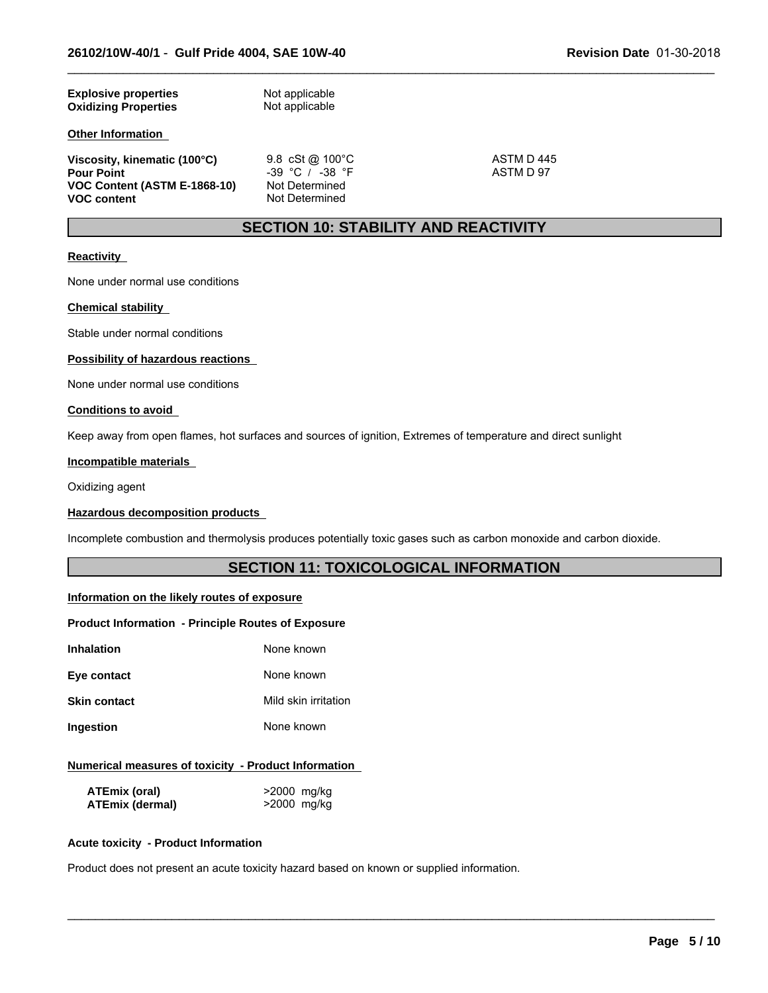| <b>Explosive properties</b> | Not applicable |
|-----------------------------|----------------|
| <b>Oxidizing Properties</b> | Not applicable |
|                             |                |

# **Other Information**

**Viscosity, kinematic (100°C)** 9.8 cSt @ 100°C 495 ASTM D 445<br>
Pour Point **Pour Point** 97 **VOC Content (ASTM E-1868-10)**<br>VOC content

**Pour Pour Point -39 °C** / -38 °F<br>Not Determined **Not Determined** 

 $\_$  ,  $\_$  ,  $\_$  ,  $\_$  ,  $\_$  ,  $\_$  ,  $\_$  ,  $\_$  ,  $\_$  ,  $\_$  ,  $\_$  ,  $\_$  ,  $\_$  ,  $\_$  ,  $\_$  ,  $\_$  ,  $\_$  ,  $\_$  ,  $\_$  ,  $\_$  ,  $\_$  ,  $\_$  ,  $\_$  ,  $\_$  ,  $\_$  ,  $\_$  ,  $\_$  ,  $\_$  ,  $\_$  ,  $\_$  ,  $\_$  ,  $\_$  ,  $\_$  ,  $\_$  ,  $\_$  ,  $\_$  ,  $\_$  ,

# **SECTION 10: STABILITY AND REACTIVITY**

### **Reactivity**

None under normal use conditions

### **Chemical stability**

Stable under normal conditions

# **Possibility of hazardous reactions**

None under normal use conditions

#### **Conditions to avoid**

Keep away from open flames, hot surfaces and sources of ignition, Extremes of temperature and direct sunlight

### **Incompatible materials**

Oxidizing agent

### **Hazardous decomposition products**

Incomplete combustion and thermolysis produces potentially toxic gases such as carbon monoxide and carbon dioxide.

# **SECTION 11: TOXICOLOGICAL INFORMATION**

 $\_$  ,  $\_$  ,  $\_$  ,  $\_$  ,  $\_$  ,  $\_$  ,  $\_$  ,  $\_$  ,  $\_$  ,  $\_$  ,  $\_$  ,  $\_$  ,  $\_$  ,  $\_$  ,  $\_$  ,  $\_$  ,  $\_$  ,  $\_$  ,  $\_$  ,  $\_$  ,  $\_$  ,  $\_$  ,  $\_$  ,  $\_$  ,  $\_$  ,  $\_$  ,  $\_$  ,  $\_$  ,  $\_$  ,  $\_$  ,  $\_$  ,  $\_$  ,  $\_$  ,  $\_$  ,  $\_$  ,  $\_$  ,  $\_$  ,

### **Information on the likely routes of exposure**

#### **Product Information - Principle Routes of Exposure**

| Inhalation   | None known           |
|--------------|----------------------|
| Eye contact  | None known           |
| Skin contact | Mild skin irritation |
| Ingestion    | None known           |
|              |                      |

# **Numerical measures of toxicity - Product Information**

| <b>ATEmix (oral)</b>   | >2000 mg/kg |
|------------------------|-------------|
| <b>ATEmix (dermal)</b> | >2000 mg/kg |

#### **Acute toxicity - Product Information**

Product does not present an acute toxicity hazard based on known or supplied information.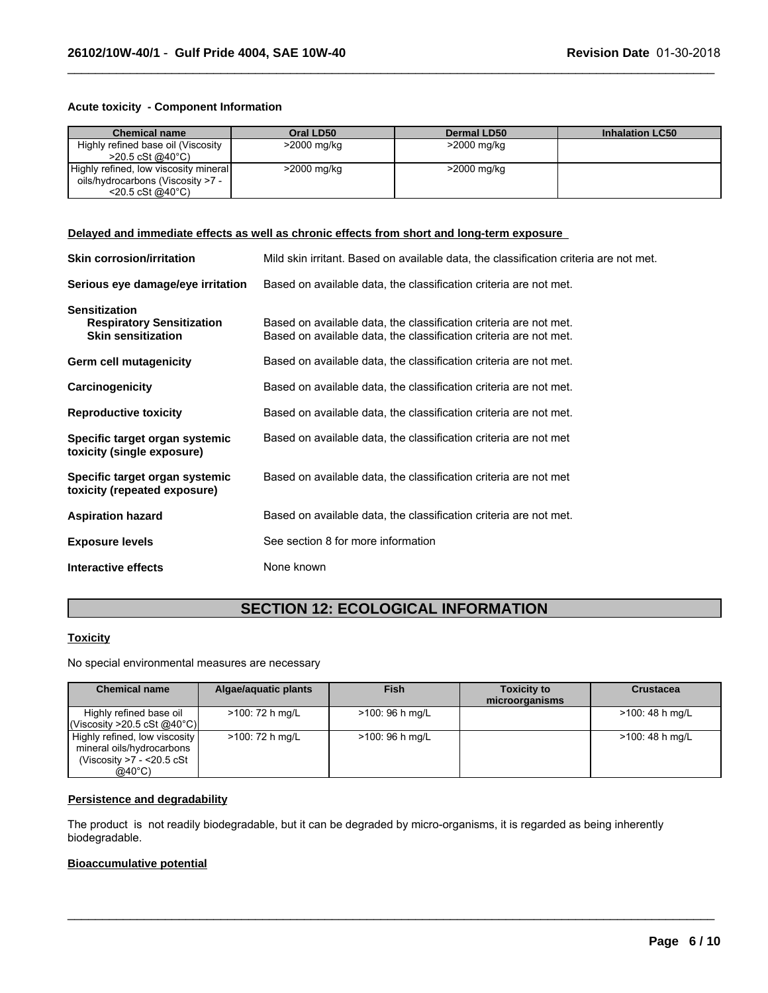# **Acute toxicity - Component Information**

| <b>Chemical name</b>                  | Oral LD50   | <b>Dermal LD50</b> | <b>Inhalation LC50</b> |
|---------------------------------------|-------------|--------------------|------------------------|
| Highly refined base oil (Viscosity    | >2000 mg/kg | >2000 mg/kg        |                        |
| $>$ 20.5 cSt @40°C)                   |             |                    |                        |
| Highly refined, low viscosity mineral | >2000 mg/kg | >2000 mg/kg        |                        |
| oils/hydrocarbons (Viscosity >7 -     |             |                    |                        |
| $<$ 20.5 cSt @40 $^{\circ}$ C)        |             |                    |                        |

 $\_$  ,  $\_$  ,  $\_$  ,  $\_$  ,  $\_$  ,  $\_$  ,  $\_$  ,  $\_$  ,  $\_$  ,  $\_$  ,  $\_$  ,  $\_$  ,  $\_$  ,  $\_$  ,  $\_$  ,  $\_$  ,  $\_$  ,  $\_$  ,  $\_$  ,  $\_$  ,  $\_$  ,  $\_$  ,  $\_$  ,  $\_$  ,  $\_$  ,  $\_$  ,  $\_$  ,  $\_$  ,  $\_$  ,  $\_$  ,  $\_$  ,  $\_$  ,  $\_$  ,  $\_$  ,  $\_$  ,  $\_$  ,  $\_$  ,

# **Delayed and immediate effects as well as chronic effects from short and long-term exposure**

| <b>Skin corrosion/irritation</b>                                                      | Mild skin irritant. Based on available data, the classification criteria are not met.                                                  |
|---------------------------------------------------------------------------------------|----------------------------------------------------------------------------------------------------------------------------------------|
| Serious eye damage/eye irritation                                                     | Based on available data, the classification criteria are not met.                                                                      |
| <b>Sensitization</b><br><b>Respiratory Sensitization</b><br><b>Skin sensitization</b> | Based on available data, the classification criteria are not met.<br>Based on available data, the classification criteria are not met. |
| <b>Germ cell mutagenicity</b>                                                         | Based on available data, the classification criteria are not met.                                                                      |
| Carcinogenicity                                                                       | Based on available data, the classification criteria are not met.                                                                      |
| <b>Reproductive toxicity</b>                                                          | Based on available data, the classification criteria are not met.                                                                      |
| Specific target organ systemic<br>toxicity (single exposure)                          | Based on available data, the classification criteria are not met                                                                       |
| Specific target organ systemic<br>toxicity (repeated exposure)                        | Based on available data, the classification criteria are not met                                                                       |
| <b>Aspiration hazard</b>                                                              | Based on available data, the classification criteria are not met.                                                                      |
| <b>Exposure levels</b>                                                                | See section 8 for more information                                                                                                     |
| Interactive effects                                                                   | None known                                                                                                                             |

# **SECTION 12: ECOLOGICAL INFORMATION**

### **Toxicity**

No special environmental measures are necessary

| <b>Chemical name</b>                                                                                        | Algae/aquatic plants | <b>Fish</b>      | <b>Toxicity to</b><br>microorganisms | <b>Crustacea</b> |
|-------------------------------------------------------------------------------------------------------------|----------------------|------------------|--------------------------------------|------------------|
| Highly refined base oil<br>(Viscosity >20.5 cSt @40°C)                                                      | >100: 72 h mg/L      | $>100:96$ h mg/L |                                      | >100: 48 h mg/L  |
| Highly refined, low viscosity<br>mineral oils/hydrocarbons<br>(Viscosity >7 - <20.5 cSt<br>$@40^{\circ}$ C) | >100: 72 h mg/L      | $>100:96$ h mg/L |                                      | >100: 48 h mg/L  |

 $\_$  ,  $\_$  ,  $\_$  ,  $\_$  ,  $\_$  ,  $\_$  ,  $\_$  ,  $\_$  ,  $\_$  ,  $\_$  ,  $\_$  ,  $\_$  ,  $\_$  ,  $\_$  ,  $\_$  ,  $\_$  ,  $\_$  ,  $\_$  ,  $\_$  ,  $\_$  ,  $\_$  ,  $\_$  ,  $\_$  ,  $\_$  ,  $\_$  ,  $\_$  ,  $\_$  ,  $\_$  ,  $\_$  ,  $\_$  ,  $\_$  ,  $\_$  ,  $\_$  ,  $\_$  ,  $\_$  ,  $\_$  ,  $\_$  ,

# **Persistence and degradability**

The product is not readily biodegradable, but it can be degraded by micro-organisms, it is regarded as being inherently biodegradable.

# **Bioaccumulative potential**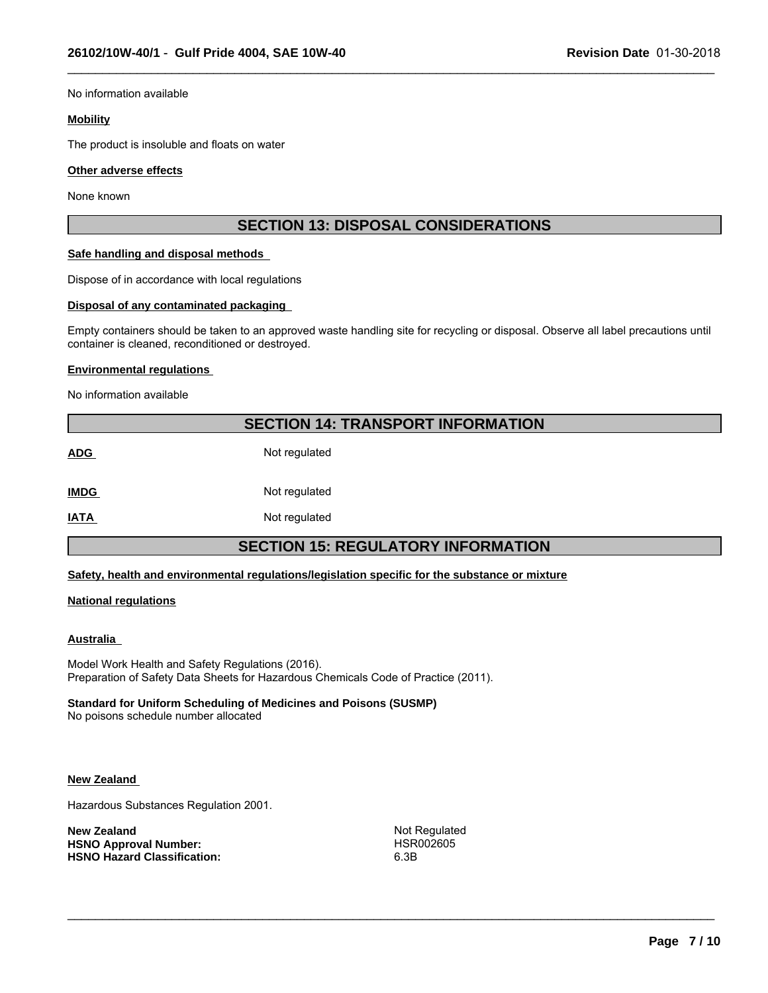No information available

#### **Mobility**

The product is insoluble and floats on water

#### **Other adverse effects**

None known

# **SECTION 13: DISPOSAL CONSIDERATIONS**

 $\_$  ,  $\_$  ,  $\_$  ,  $\_$  ,  $\_$  ,  $\_$  ,  $\_$  ,  $\_$  ,  $\_$  ,  $\_$  ,  $\_$  ,  $\_$  ,  $\_$  ,  $\_$  ,  $\_$  ,  $\_$  ,  $\_$  ,  $\_$  ,  $\_$  ,  $\_$  ,  $\_$  ,  $\_$  ,  $\_$  ,  $\_$  ,  $\_$  ,  $\_$  ,  $\_$  ,  $\_$  ,  $\_$  ,  $\_$  ,  $\_$  ,  $\_$  ,  $\_$  ,  $\_$  ,  $\_$  ,  $\_$  ,  $\_$  ,

#### **Safe handling and disposal methods**

Dispose of in accordance with local regulations

#### **Disposal of any contaminated packaging**

Empty containers should be taken to an approved waste handling site for recycling or disposal. Observe all label precautions until container is cleaned, reconditioned or destroyed.

#### **Environmental regulations**

No information available

# **SECTION 14: TRANSPORT INFORMATION**

**ADG** Not regulated

**IMDG** Not regulated

**IATA** Not regulated

# **SECTION 15: REGULATORY INFORMATION**

**Safety, health and environmental regulations/legislation specific for the substance or mixture**

### **National regulations**

### **Australia**

Model Work Health and Safety Regulations (2016). Preparation of Safety Data Sheets for Hazardous Chemicals Code of Practice (2011).

### **Standard for Uniform Scheduling of Medicines and Poisons (SUSMP)**

No poisons schedule number allocated

### **New Zealand**

Hazardous Substances Regulation 2001.

**New Zealand Not Regulated Not Regulated HSNO Approval Number:** HSR002605 **HSNO Hazard Classification:** 

 $\_$  ,  $\_$  ,  $\_$  ,  $\_$  ,  $\_$  ,  $\_$  ,  $\_$  ,  $\_$  ,  $\_$  ,  $\_$  ,  $\_$  ,  $\_$  ,  $\_$  ,  $\_$  ,  $\_$  ,  $\_$  ,  $\_$  ,  $\_$  ,  $\_$  ,  $\_$  ,  $\_$  ,  $\_$  ,  $\_$  ,  $\_$  ,  $\_$  ,  $\_$  ,  $\_$  ,  $\_$  ,  $\_$  ,  $\_$  ,  $\_$  ,  $\_$  ,  $\_$  ,  $\_$  ,  $\_$  ,  $\_$  ,  $\_$  ,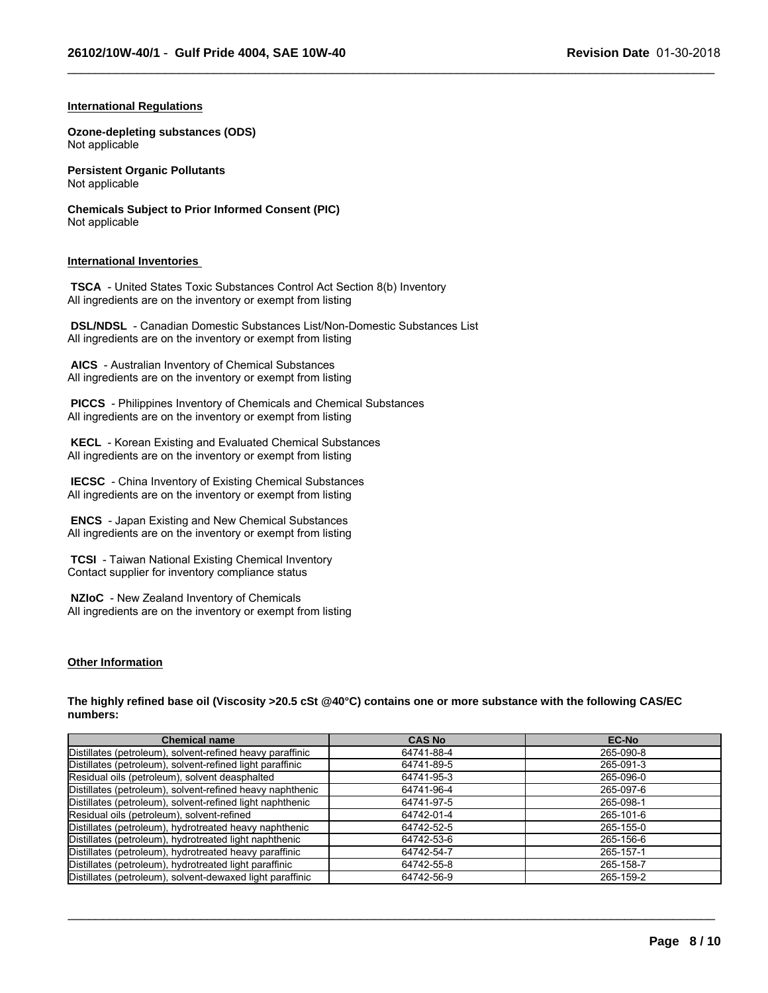$\_$  ,  $\_$  ,  $\_$  ,  $\_$  ,  $\_$  ,  $\_$  ,  $\_$  ,  $\_$  ,  $\_$  ,  $\_$  ,  $\_$  ,  $\_$  ,  $\_$  ,  $\_$  ,  $\_$  ,  $\_$  ,  $\_$  ,  $\_$  ,  $\_$  ,  $\_$  ,  $\_$  ,  $\_$  ,  $\_$  ,  $\_$  ,  $\_$  ,  $\_$  ,  $\_$  ,  $\_$  ,  $\_$  ,  $\_$  ,  $\_$  ,  $\_$  ,  $\_$  ,  $\_$  ,  $\_$  ,  $\_$  ,  $\_$  ,

### **International Regulations**

**Ozone-depleting substances (ODS)** Not applicable

**Persistent Organic Pollutants** Not applicable

**Chemicals Subject to Prior Informed Consent (PIC)** Not applicable

### **International Inventories**

 **TSCA** - United States Toxic Substances Control Act Section 8(b) Inventory All ingredients are on the inventory or exempt from listing

 **DSL/NDSL** - Canadian Domestic Substances List/Non-Domestic Substances List All ingredients are on the inventory or exempt from listing

 **AICS** - Australian Inventory of Chemical Substances All ingredients are on the inventory or exempt from listing

 **PICCS** - Philippines Inventory of Chemicals and Chemical Substances All ingredients are on the inventory or exempt from listing

 **KECL** - Korean Existing and Evaluated Chemical Substances All ingredients are on the inventory or exempt from listing

 **IECSC** - China Inventory of Existing Chemical Substances All ingredients are on the inventory or exempt from listing

 **ENCS** - Japan Existing and New Chemical Substances All ingredients are on the inventory or exempt from listing

 **TCSI** - Taiwan National Existing Chemical Inventory Contact supplier for inventory compliance status

 **NZIoC** - New Zealand Inventory of Chemicals All ingredients are on the inventory or exempt from listing

### **Other Information**

**The highly refined base oil (Viscosity >20.5 cSt @40°C) contains one or more substance with the following CAS/EC numbers:**

| <b>Chemical name</b>                                      | <b>CAS No</b> | <b>EC-No</b> |
|-----------------------------------------------------------|---------------|--------------|
| Distillates (petroleum), solvent-refined heavy paraffinic | 64741-88-4    | 265-090-8    |
| Distillates (petroleum), solvent-refined light paraffinic | 64741-89-5    | 265-091-3    |
| Residual oils (petroleum), solvent deasphalted            | 64741-95-3    | 265-096-0    |
| Distillates (petroleum), solvent-refined heavy naphthenic | 64741-96-4    | 265-097-6    |
| Distillates (petroleum), solvent-refined light naphthenic | 64741-97-5    | 265-098-1    |
| Residual oils (petroleum), solvent-refined                | 64742-01-4    | 265-101-6    |
| Distillates (petroleum), hydrotreated heavy naphthenic    | 64742-52-5    | 265-155-0    |
| Distillates (petroleum), hydrotreated light naphthenic    | 64742-53-6    | 265-156-6    |
| Distillates (petroleum), hydrotreated heavy paraffinic    | 64742-54-7    | 265-157-1    |
| Distillates (petroleum), hydrotreated light paraffinic    | 64742-55-8    | 265-158-7    |
| Distillates (petroleum), solvent-dewaxed light paraffinic | 64742-56-9    | 265-159-2    |

 $\_$  ,  $\_$  ,  $\_$  ,  $\_$  ,  $\_$  ,  $\_$  ,  $\_$  ,  $\_$  ,  $\_$  ,  $\_$  ,  $\_$  ,  $\_$  ,  $\_$  ,  $\_$  ,  $\_$  ,  $\_$  ,  $\_$  ,  $\_$  ,  $\_$  ,  $\_$  ,  $\_$  ,  $\_$  ,  $\_$  ,  $\_$  ,  $\_$  ,  $\_$  ,  $\_$  ,  $\_$  ,  $\_$  ,  $\_$  ,  $\_$  ,  $\_$  ,  $\_$  ,  $\_$  ,  $\_$  ,  $\_$  ,  $\_$  ,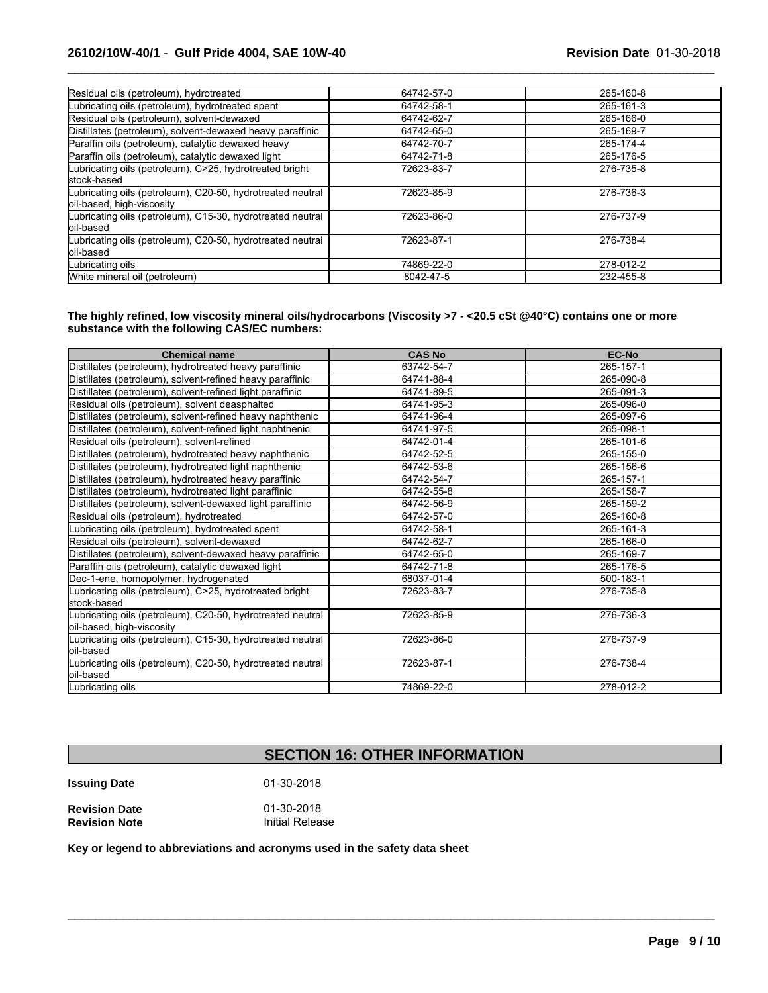| Residual oils (petroleum), hydrotreated                    | 64742-57-0 | 265-160-8 |
|------------------------------------------------------------|------------|-----------|
| Lubricating oils (petroleum), hydrotreated spent           | 64742-58-1 | 265-161-3 |
| Residual oils (petroleum), solvent-dewaxed                 | 64742-62-7 | 265-166-0 |
| Distillates (petroleum), solvent-dewaxed heavy paraffinic  | 64742-65-0 | 265-169-7 |
| Paraffin oils (petroleum), catalytic dewaxed heavy         | 64742-70-7 | 265-174-4 |
| Paraffin oils (petroleum), catalytic dewaxed light         | 64742-71-8 | 265-176-5 |
| Lubricating oils (petroleum), C>25, hydrotreated bright    | 72623-83-7 | 276-735-8 |
| stock-based                                                |            |           |
| Lubricating oils (petroleum), C20-50, hydrotreated neutral | 72623-85-9 | 276-736-3 |
| oil-based, high-viscosity                                  |            |           |
| Lubricating oils (petroleum), C15-30, hydrotreated neutral | 72623-86-0 | 276-737-9 |
| loil-based                                                 |            |           |
| Lubricating oils (petroleum), C20-50, hydrotreated neutral | 72623-87-1 | 276-738-4 |
| loil-based                                                 |            |           |
| Lubricating oils                                           | 74869-22-0 | 278-012-2 |
| White mineral oil (petroleum)                              | 8042-47-5  | 232-455-8 |

 $\_$  ,  $\_$  ,  $\_$  ,  $\_$  ,  $\_$  ,  $\_$  ,  $\_$  ,  $\_$  ,  $\_$  ,  $\_$  ,  $\_$  ,  $\_$  ,  $\_$  ,  $\_$  ,  $\_$  ,  $\_$  ,  $\_$  ,  $\_$  ,  $\_$  ,  $\_$  ,  $\_$  ,  $\_$  ,  $\_$  ,  $\_$  ,  $\_$  ,  $\_$  ,  $\_$  ,  $\_$  ,  $\_$  ,  $\_$  ,  $\_$  ,  $\_$  ,  $\_$  ,  $\_$  ,  $\_$  ,  $\_$  ,  $\_$  ,

### **The highly refined, low viscosity mineral oils/hydrocarbons (Viscosity >7 - <20.5 cSt @40°C) contains one or more substance with the following CAS/EC numbers:**

| <b>Chemical name</b>                                       | <b>CAS No</b> | EC-No     |
|------------------------------------------------------------|---------------|-----------|
| Distillates (petroleum), hydrotreated heavy paraffinic     | 63742-54-7    | 265-157-1 |
| Distillates (petroleum), solvent-refined heavy paraffinic  | 64741-88-4    | 265-090-8 |
| Distillates (petroleum), solvent-refined light paraffinic  | 64741-89-5    | 265-091-3 |
| Residual oils (petroleum), solvent deasphalted             | 64741-95-3    | 265-096-0 |
| Distillates (petroleum), solvent-refined heavy naphthenic  | 64741-96-4    | 265-097-6 |
| Distillates (petroleum), solvent-refined light naphthenic  | 64741-97-5    | 265-098-1 |
| Residual oils (petroleum), solvent-refined                 | 64742-01-4    | 265-101-6 |
| Distillates (petroleum), hydrotreated heavy naphthenic     | 64742-52-5    | 265-155-0 |
| Distillates (petroleum), hydrotreated light naphthenic     | 64742-53-6    | 265-156-6 |
| Distillates (petroleum), hydrotreated heavy paraffinic     | 64742-54-7    | 265-157-1 |
| Distillates (petroleum), hydrotreated light paraffinic     | 64742-55-8    | 265-158-7 |
| Distillates (petroleum), solvent-dewaxed light paraffinic  | 64742-56-9    | 265-159-2 |
| Residual oils (petroleum), hydrotreated                    | 64742-57-0    | 265-160-8 |
| Lubricating oils (petroleum), hydrotreated spent           | 64742-58-1    | 265-161-3 |
| Residual oils (petroleum), solvent-dewaxed                 | 64742-62-7    | 265-166-0 |
| Distillates (petroleum), solvent-dewaxed heavy paraffinic  | 64742-65-0    | 265-169-7 |
| Paraffin oils (petroleum), catalytic dewaxed light         | 64742-71-8    | 265-176-5 |
| Dec-1-ene, homopolymer, hydrogenated                       | 68037-01-4    | 500-183-1 |
| ubricating oils (petroleum), C>25, hydrotreated bright     | 72623-83-7    | 276-735-8 |
| lstock-based                                               |               |           |
| Lubricating oils (petroleum), C20-50, hydrotreated neutral | 72623-85-9    | 276-736-3 |
| oil-based, high-viscosity                                  |               |           |
| Lubricating oils (petroleum), C15-30, hydrotreated neutral | 72623-86-0    | 276-737-9 |
| loil-based                                                 |               |           |
| Lubricating oils (petroleum), C20-50, hydrotreated neutral | 72623-87-1    | 276-738-4 |
| oil-based                                                  |               |           |
| Lubricating oils                                           | 74869-22-0    | 278-012-2 |

# **SECTION 16: OTHER INFORMATION**

 $\mathcal{L}_\mathcal{L} = \{ \mathcal{L}_\mathcal{L} = \{ \mathcal{L}_\mathcal{L} = \{ \mathcal{L}_\mathcal{L} = \{ \mathcal{L}_\mathcal{L} = \{ \mathcal{L}_\mathcal{L} = \{ \mathcal{L}_\mathcal{L} = \{ \mathcal{L}_\mathcal{L} = \{ \mathcal{L}_\mathcal{L} = \{ \mathcal{L}_\mathcal{L} = \{ \mathcal{L}_\mathcal{L} = \{ \mathcal{L}_\mathcal{L} = \{ \mathcal{L}_\mathcal{L} = \{ \mathcal{L}_\mathcal{L} = \{ \mathcal{L}_\mathcal{$ 

**Issuing Date** 01-30-2018

**Revision Date Case 1 12 Servision Note** 1 2011 11:12 11:13 Pelease 1 **Revision Note** 

**Key or legend to abbreviations and acronyms used in the safety data sheet**